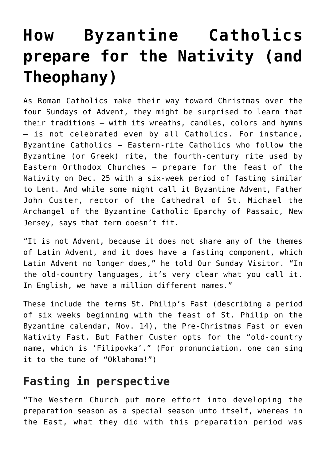## **[How Byzantine Catholics](https://www.osvnews.com/2018/12/17/how-byzantine-catholics-prepare-for-the-nativity-and-theophany/) [prepare for the Nativity \(and](https://www.osvnews.com/2018/12/17/how-byzantine-catholics-prepare-for-the-nativity-and-theophany/) [Theophany\)](https://www.osvnews.com/2018/12/17/how-byzantine-catholics-prepare-for-the-nativity-and-theophany/)**

As Roman Catholics make their way toward Christmas over the four Sundays of Advent, they might be surprised to learn that their traditions — with its wreaths, candles, colors and hymns — is not celebrated even by all Catholics. For instance, Byzantine Catholics — Eastern-rite Catholics who follow the Byzantine (or Greek) rite, the fourth-century rite used by Eastern Orthodox Churches — prepare for the feast of the Nativity on Dec. 25 with a six-week period of fasting similar to Lent. And while some might call it Byzantine Advent, Father John Custer, rector of the Cathedral of St. Michael the Archangel of the Byzantine Catholic Eparchy of Passaic, New Jersey, says that term doesn't fit.

"It is not Advent, because it does not share any of the themes of Latin Advent, and it does have a fasting component, which Latin Advent no longer does," he told Our Sunday Visitor. "In the old-country languages, it's very clear what you call it. In English, we have a million different names."

These include the terms St. Philip's Fast (describing a period of six weeks beginning with the feast of St. Philip on the Byzantine calendar, Nov. 14), the Pre-Christmas Fast or even Nativity Fast. But Father Custer opts for the "old-country name, which is 'Filipovka'." (For pronunciation, one can sing it to the tune of "Oklahoma!")

## **Fasting in perspective**

"The Western Church put more effort into developing the preparation season as a special season unto itself, whereas in the East, what they did with this preparation period was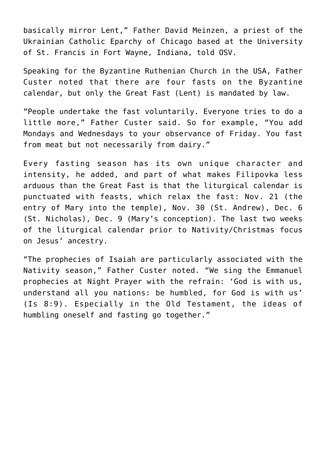basically mirror Lent," Father David Meinzen, a priest of the Ukrainian Catholic Eparchy of Chicago based at the University of St. Francis in Fort Wayne, Indiana, told OSV.

Speaking for the Byzantine Ruthenian Church in the USA, Father Custer noted that there are four fasts on the Byzantine calendar, but only the Great Fast (Lent) is mandated by law.

"People undertake the fast voluntarily. Everyone tries to do a little more," Father Custer said. So for example, "You add Mondays and Wednesdays to your observance of Friday. You fast from meat but not necessarily from dairy."

Every fasting season has its own unique character and intensity, he added, and part of what makes Filipovka less arduous than the Great Fast is that the liturgical calendar is punctuated with feasts, which relax the fast: Nov. 21 (the entry of Mary into the temple), Nov. 30 (St. Andrew), Dec. 6 (St. Nicholas), Dec. 9 (Mary's conception). The last two weeks of the liturgical calendar prior to Nativity/Christmas focus on Jesus' ancestry.

"The prophecies of Isaiah are particularly associated with the Nativity season," Father Custer noted. "We sing the Emmanuel prophecies at Night Prayer with the refrain: 'God is with us, understand all you nations: be humbled, for God is with us' (Is 8:9). Especially in the Old Testament, the ideas of humbling oneself and fasting go together."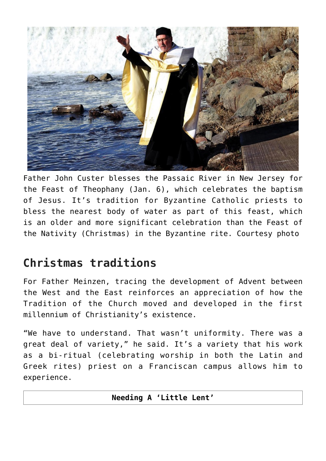

Father John Custer blesses the Passaic River in New Jersey for the Feast of Theophany (Jan. 6), which celebrates the baptism of Jesus. It's tradition for Byzantine Catholic priests to bless the nearest body of water as part of this feast, which is an older and more significant celebration than the Feast of the Nativity (Christmas) in the Byzantine rite. Courtesy photo

## **Christmas traditions**

For Father Meinzen, tracing the development of Advent between the West and the East reinforces an appreciation of how the Tradition of the Church moved and developed in the first millennium of Christianity's existence.

"We have to understand. That wasn't uniformity. There was a great deal of variety," he said. It's a variety that his work as a bi-ritual (celebrating worship in both the Latin and Greek rites) priest on a Franciscan campus allows him to experience.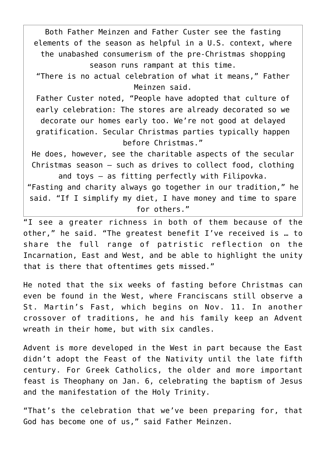Both Father Meinzen and Father Custer see the fasting elements of the season as helpful in a U.S. context, where the unabashed consumerism of the pre-Christmas shopping season runs rampant at this time. "There is no actual celebration of what it means," Father Meinzen said. Father Custer noted, "People have adopted that culture of early celebration: The stores are already decorated so we decorate our homes early too. We're not good at delayed gratification. Secular Christmas parties typically happen before Christmas." He does, however, see the charitable aspects of the secular Christmas season — such as drives to collect food, clothing and toys — as fitting perfectly with Filipovka.

"Fasting and charity always go together in our tradition," he said. "If I simplify my diet, I have money and time to spare for others."

"I see a greater richness in both of them because of the other," he said. "The greatest benefit I've received is … to share the full range of patristic reflection on the Incarnation, East and West, and be able to highlight the unity that is there that oftentimes gets missed."

He noted that the six weeks of fasting before Christmas can even be found in the West, where Franciscans still observe a St. Martin's Fast, which begins on Nov. 11. In another crossover of traditions, he and his family keep an Advent wreath in their home, but with six candles.

Advent is more developed in the West in part because the East didn't adopt the Feast of the Nativity until the late fifth century. For Greek Catholics, the older and more important feast is Theophany on Jan. 6, celebrating the baptism of Jesus and the manifestation of the Holy Trinity.

"That's the celebration that we've been preparing for, that God has become one of us," said Father Meinzen.